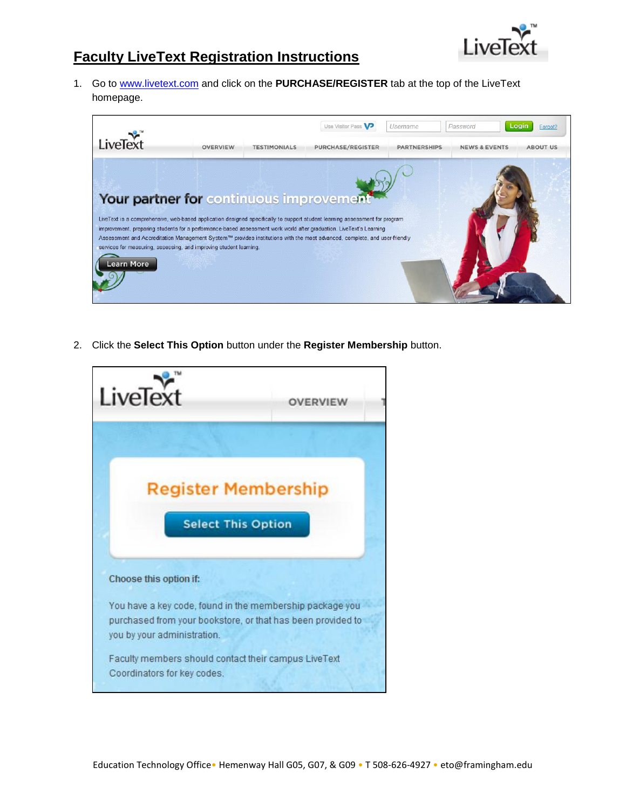

## **Faculty LiveText Registration Instructions**

1. Go to [www.livetext.com](http://www.livetext.com/) and click on the **PURCHASE/REGISTER** tab at the top of the LiveText homepage.



2. Click the **Select This Option** button under the **Register Membership** button.

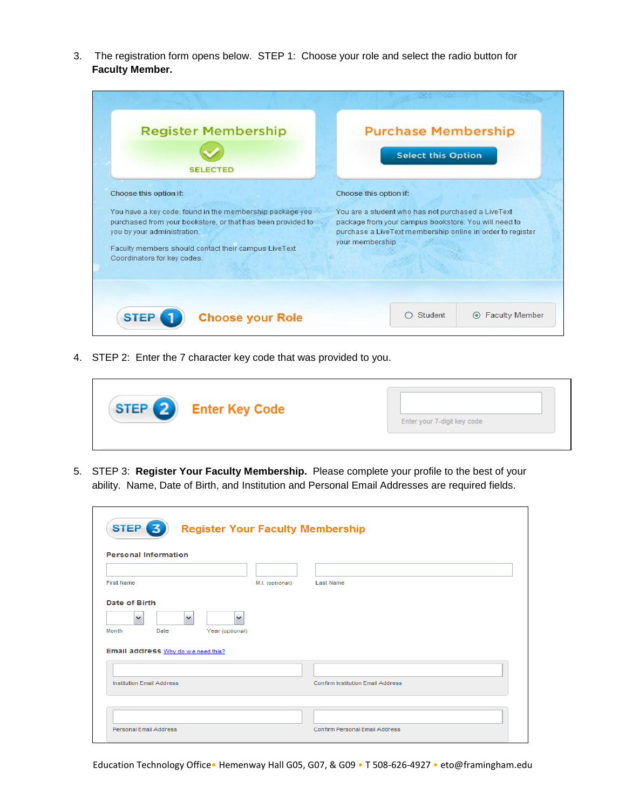3. The registration form opens below. STEP 1: Choose your role and select the radio button for **Faculty Member.** 

| <b>Register Membership</b><br><b>SELECTED</b>                                                                                                                                                                                                                           | <b>Purchase Membership</b><br><b>Select this Option</b><br>Choose this option if:<br>You are a student who has not purchased a LiveText<br>package from your campus bookstore. You will need to<br>purchase a LiveText membership online in order to register<br>your membership. |  |
|-------------------------------------------------------------------------------------------------------------------------------------------------------------------------------------------------------------------------------------------------------------------------|-----------------------------------------------------------------------------------------------------------------------------------------------------------------------------------------------------------------------------------------------------------------------------------|--|
| Choose this option if:<br>You have a key code, found in the membership package you<br>purchased from your bookstore, or that has been provided to<br>you by your administration.<br>Faculty members should contact their campus LiveText<br>Coordinators for key codes. |                                                                                                                                                                                                                                                                                   |  |
| <b>STEP</b><br><b>Choose your Role</b>                                                                                                                                                                                                                                  | Student<br><b>Faculty Member</b><br>$\circ$                                                                                                                                                                                                                                       |  |

4. STEP 2: Enter the 7 character key code that was provided to you.



5. STEP 3: **Register Your Faculty Membership.** Please complete your profile to the best of your ability. Name, Date of Birth, and Institution and Personal Email Addresses are required fields.

| <b>Personal Information</b>                                                                                                  |                 |                                          |
|------------------------------------------------------------------------------------------------------------------------------|-----------------|------------------------------------------|
| <b>First Name</b>                                                                                                            | M.I. (optional) | <b>Last Name</b>                         |
| Date of Birth<br>v<br>$\checkmark$<br>$\checkmark$<br>Month<br>Date<br>Year (optional)<br>Email address Why do we need this? |                 |                                          |
| <b>Institution Email Address</b>                                                                                             |                 | <b>Confirm Institution Email Address</b> |

Education Technology Office• Hemenway Hall G05, G07, & G09 • T 508-626-4927 • eto@framingham.edu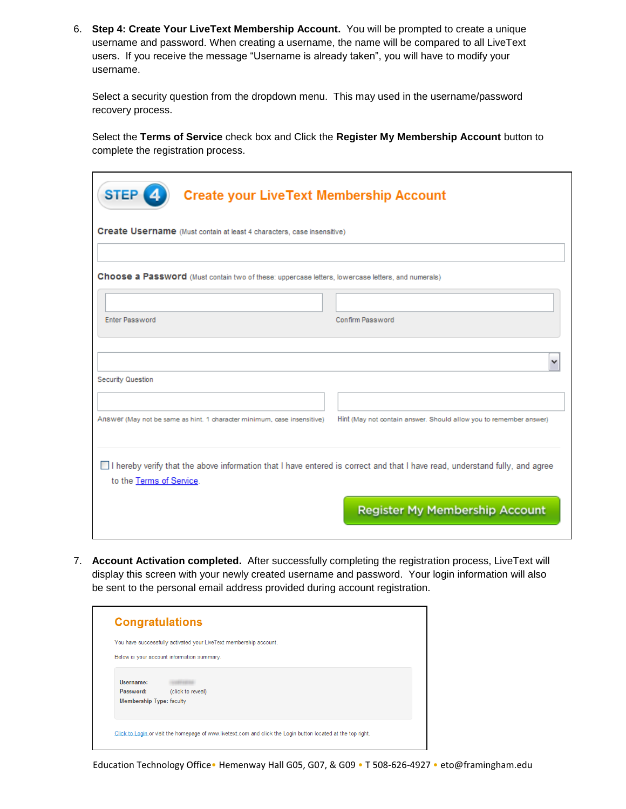6. **Step 4: Create Your LiveText Membership Account.** You will be prompted to create a unique username and password. When creating a username, the name will be compared to all LiveText users. If you receive the message "Username is already taken", you will have to modify your username.

Select a security question from the dropdown menu. This may used in the username/password recovery process.

Select the **Terms of Service** check box and Click the **Register My Membership Account** button to complete the registration process.

| STEP <sup>(4)</sup><br><b>Create your LiveText Membership Account</b>                                                                                   |                                                                    |
|---------------------------------------------------------------------------------------------------------------------------------------------------------|--------------------------------------------------------------------|
| Create Username (Must contain at least 4 characters, case insensitive)                                                                                  |                                                                    |
| Choose a Password (Must contain two of these: uppercase letters, lowercase letters, and numerals)                                                       |                                                                    |
| <b>Enter Password</b>                                                                                                                                   | Confirm Password                                                   |
|                                                                                                                                                         |                                                                    |
| Security Question                                                                                                                                       | v                                                                  |
|                                                                                                                                                         |                                                                    |
| Answer (May not be same as hint. 1 character minimum, case insensitive)                                                                                 | Hint (May not contain answer. Should allow you to remember answer) |
| I hereby verify that the above information that I have entered is correct and that I have read, understand fully, and agree<br>to the Terms of Service. |                                                                    |
|                                                                                                                                                         | <b>Register My Membership Account</b>                              |

7. **Account Activation completed.** After successfully completing the registration process, LiveText will display this screen with your newly created username and password. Your login information will also be sent to the personal email address provided during account registration.

|                                 | You have successfully activated your LiveText membership account. |
|---------------------------------|-------------------------------------------------------------------|
|                                 | Below is your account information summary.                        |
| Username:                       |                                                                   |
| Password:                       | (click to reveal)                                                 |
| <b>Membership Type: faculty</b> |                                                                   |

Education Technology Office• Hemenway Hall G05, G07, & G09 • T 508-626-4927 • eto@framingham.edu